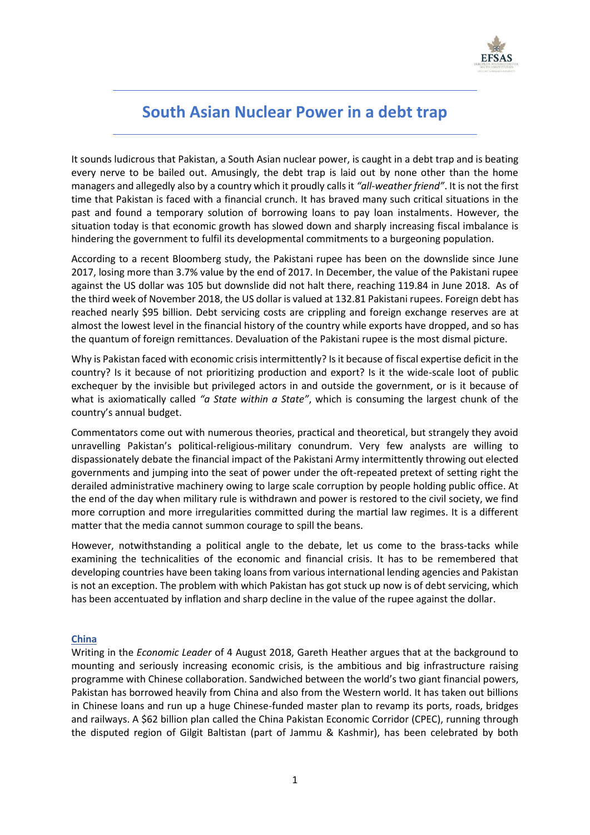

# **South Asian Nuclear Power in a debt trap**

It sounds ludicrous that Pakistan, a South Asian nuclear power, is caught in a debt trap and is beating every nerve to be bailed out. Amusingly, the debt trap is laid out by none other than the home managers and allegedly also by a country which it proudly calls it *"all-weather friend"*. It is not the first time that Pakistan is faced with a financial crunch. It has braved many such critical situations in the past and found a temporary solution of borrowing loans to pay loan instalments. However, the situation today is that economic growth has slowed down and sharply increasing fiscal imbalance is hindering the government to fulfil its developmental commitments to a burgeoning population.

According to a recent Bloomberg study, the Pakistani rupee has been on the downslide since June 2017, losing more than 3.7% value by the end of 2017. In December, the value of the Pakistani rupee against the US dollar was 105 but downslide did not halt there, reaching 119.84 in June 2018. As of the third week of November 2018, the US dollar is valued at 132.81 Pakistani rupees. Foreign debt has reached nearly \$95 billion. Debt servicing costs are crippling and foreign exchange reserves are at almost the lowest level in the financial history of the country while exports have dropped, and so has the quantum of foreign remittances. Devaluation of the Pakistani rupee is the most dismal picture.

Why is Pakistan faced with economic crisis intermittently? Is it because of fiscal expertise deficit in the country? Is it because of not prioritizing production and export? Is it the wide-scale loot of public exchequer by the invisible but privileged actors in and outside the government, or is it because of what is axiomatically called *"a State within a State"*, which is consuming the largest chunk of the country's annual budget.

Commentators come out with numerous theories, practical and theoretical, but strangely they avoid unravelling Pakistan's political-religious-military conundrum. Very few analysts are willing to dispassionately debate the financial impact of the Pakistani Army intermittently throwing out elected governments and jumping into the seat of power under the oft-repeated pretext of setting right the derailed administrative machinery owing to large scale corruption by people holding public office. At the end of the day when military rule is withdrawn and power is restored to the civil society, we find more corruption and more irregularities committed during the martial law regimes. It is a different matter that the media cannot summon courage to spill the beans.

However, notwithstanding a political angle to the debate, let us come to the brass-tacks while examining the technicalities of the economic and financial crisis. It has to be remembered that developing countries have been taking loans from various international lending agencies and Pakistan is not an exception. The problem with which Pakistan has got stuck up now is of debt servicing, which has been accentuated by inflation and sharp decline in the value of the rupee against the dollar.

# **China**

Writing in the *Economic Leader* of 4 August 2018, Gareth Heather argues that at the background to mounting and seriously increasing economic crisis, is the ambitious and big infrastructure raising programme with Chinese collaboration. Sandwiched between the world's two giant financial powers, Pakistan has borrowed heavily from China and also from the Western world. It has taken out billions in Chinese loans and run up a huge Chinese-funded master plan to revamp its ports, roads, bridges and railways. A \$62 billion plan called the China Pakistan Economic Corridor (CPEC), running through the disputed region of Gilgit Baltistan (part of Jammu & Kashmir), has been celebrated by both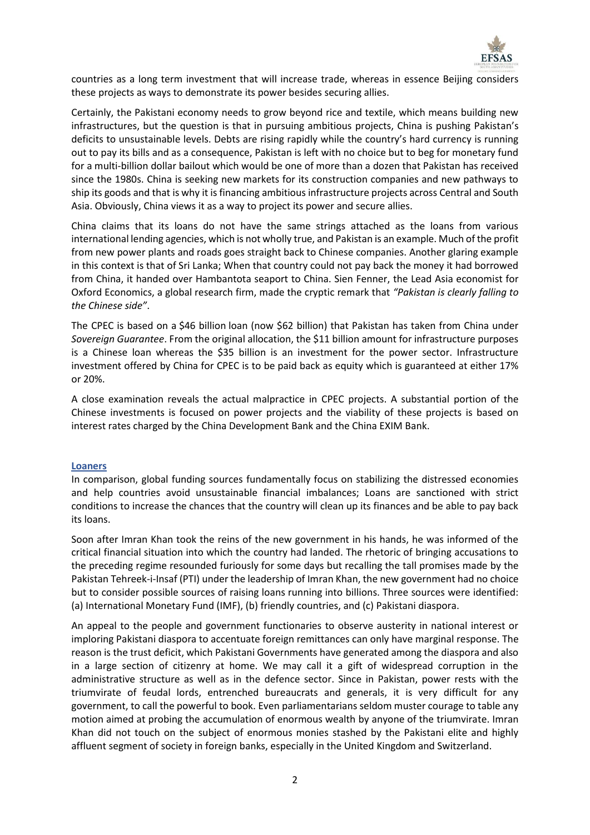

countries as a long term investment that will increase trade, whereas in essence Beijing considers these projects as ways to demonstrate its power besides securing allies.

Certainly, the Pakistani economy needs to grow beyond rice and textile, which means building new infrastructures, but the question is that in pursuing ambitious projects, China is pushing Pakistan's deficits to unsustainable levels. Debts are rising rapidly while the country's hard currency is running out to pay its bills and as a consequence, Pakistan is left with no choice but to beg for monetary fund for a multi-billion dollar bailout which would be one of more than a dozen that Pakistan has received since the 1980s. China is seeking new markets for its construction companies and new pathways to ship its goods and that is why it is financing ambitious infrastructure projects across Central and South Asia. Obviously, China views it as a way to project its power and secure allies.

China claims that its loans do not have the same strings attached as the loans from various international lending agencies, which is not wholly true, and Pakistan is an example. Much of the profit from new power plants and roads goes straight back to Chinese companies. Another glaring example in this context is that of Sri Lanka; When that country could not pay back the money it had borrowed from China, it handed over Hambantota seaport to China. Sien Fenner, the Lead Asia economist for Oxford Economics, a global research firm, made the cryptic remark that *"Pakistan is clearly falling to the Chinese side"*.

The CPEC is based on a \$46 billion loan (now \$62 billion) that Pakistan has taken from China under *Sovereign Guarantee*. From the original allocation, the \$11 billion amount for infrastructure purposes is a Chinese loan whereas the \$35 billion is an investment for the power sector. Infrastructure investment offered by China for CPEC is to be paid back as equity which is guaranteed at either 17% or 20%.

A close examination reveals the actual malpractice in CPEC projects. A substantial portion of the Chinese investments is focused on power projects and the viability of these projects is based on interest rates charged by the China Development Bank and the China EXIM Bank.

#### **Loaners**

In comparison, global funding sources fundamentally focus on stabilizing the distressed economies and help countries avoid unsustainable financial imbalances; Loans are sanctioned with strict conditions to increase the chances that the country will clean up its finances and be able to pay back its loans.

Soon after Imran Khan took the reins of the new government in his hands, he was informed of the critical financial situation into which the country had landed. The rhetoric of bringing accusations to the preceding regime resounded furiously for some days but recalling the tall promises made by the Pakistan Tehreek-i-Insaf (PTI) under the leadership of Imran Khan, the new government had no choice but to consider possible sources of raising loans running into billions. Three sources were identified: (a) International Monetary Fund (IMF), (b) friendly countries, and (c) Pakistani diaspora.

An appeal to the people and government functionaries to observe austerity in national interest or imploring Pakistani diaspora to accentuate foreign remittances can only have marginal response. The reason is the trust deficit, which Pakistani Governments have generated among the diaspora and also in a large section of citizenry at home. We may call it a gift of widespread corruption in the administrative structure as well as in the defence sector. Since in Pakistan, power rests with the triumvirate of feudal lords, entrenched bureaucrats and generals, it is very difficult for any government, to call the powerful to book. Even parliamentarians seldom muster courage to table any motion aimed at probing the accumulation of enormous wealth by anyone of the triumvirate. Imran Khan did not touch on the subject of enormous monies stashed by the Pakistani elite and highly affluent segment of society in foreign banks, especially in the United Kingdom and Switzerland.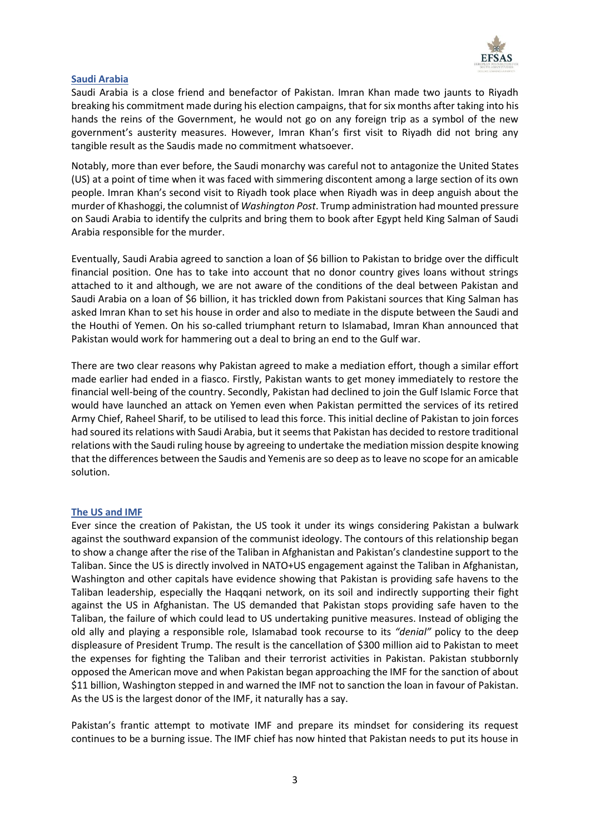

# **Saudi Arabia**

Saudi Arabia is a close friend and benefactor of Pakistan. Imran Khan made two jaunts to Riyadh breaking his commitment made during his election campaigns, that for six months after taking into his hands the reins of the Government, he would not go on any foreign trip as a symbol of the new government's austerity measures. However, Imran Khan's first visit to Riyadh did not bring any tangible result as the Saudis made no commitment whatsoever.

Notably, more than ever before, the Saudi monarchy was careful not to antagonize the United States (US) at a point of time when it was faced with simmering discontent among a large section of its own people. Imran Khan's second visit to Riyadh took place when Riyadh was in deep anguish about the murder of Khashoggi, the columnist of *Washington Post*. Trump administration had mounted pressure on Saudi Arabia to identify the culprits and bring them to book after Egypt held King Salman of Saudi Arabia responsible for the murder.

Eventually, Saudi Arabia agreed to sanction a loan of \$6 billion to Pakistan to bridge over the difficult financial position. One has to take into account that no donor country gives loans without strings attached to it and although, we are not aware of the conditions of the deal between Pakistan and Saudi Arabia on a loan of \$6 billion, it has trickled down from Pakistani sources that King Salman has asked Imran Khan to set his house in order and also to mediate in the dispute between the Saudi and the Houthi of Yemen. On his so-called triumphant return to Islamabad, Imran Khan announced that Pakistan would work for hammering out a deal to bring an end to the Gulf war.

There are two clear reasons why Pakistan agreed to make a mediation effort, though a similar effort made earlier had ended in a fiasco. Firstly, Pakistan wants to get money immediately to restore the financial well-being of the country. Secondly, Pakistan had declined to join the Gulf Islamic Force that would have launched an attack on Yemen even when Pakistan permitted the services of its retired Army Chief, Raheel Sharif, to be utilised to lead this force. This initial decline of Pakistan to join forces had soured its relations with Saudi Arabia, but it seems that Pakistan has decided to restore traditional relations with the Saudi ruling house by agreeing to undertake the mediation mission despite knowing that the differences between the Saudis and Yemenis are so deep as to leave no scope for an amicable solution.

# **The US and IMF**

Ever since the creation of Pakistan, the US took it under its wings considering Pakistan a bulwark against the southward expansion of the communist ideology. The contours of this relationship began to show a change after the rise of the Taliban in Afghanistan and Pakistan's clandestine support to the Taliban. Since the US is directly involved in NATO+US engagement against the Taliban in Afghanistan, Washington and other capitals have evidence showing that Pakistan is providing safe havens to the Taliban leadership, especially the Haqqani network, on its soil and indirectly supporting their fight against the US in Afghanistan. The US demanded that Pakistan stops providing safe haven to the Taliban, the failure of which could lead to US undertaking punitive measures. Instead of obliging the old ally and playing a responsible role, Islamabad took recourse to its *"denial"* policy to the deep displeasure of President Trump. The result is the cancellation of \$300 million aid to Pakistan to meet the expenses for fighting the Taliban and their terrorist activities in Pakistan. Pakistan stubbornly opposed the American move and when Pakistan began approaching the IMF for the sanction of about \$11 billion, Washington stepped in and warned the IMF not to sanction the loan in favour of Pakistan. As the US is the largest donor of the IMF, it naturally has a say.

Pakistan's frantic attempt to motivate IMF and prepare its mindset for considering its request continues to be a burning issue. The IMF chief has now hinted that Pakistan needs to put its house in